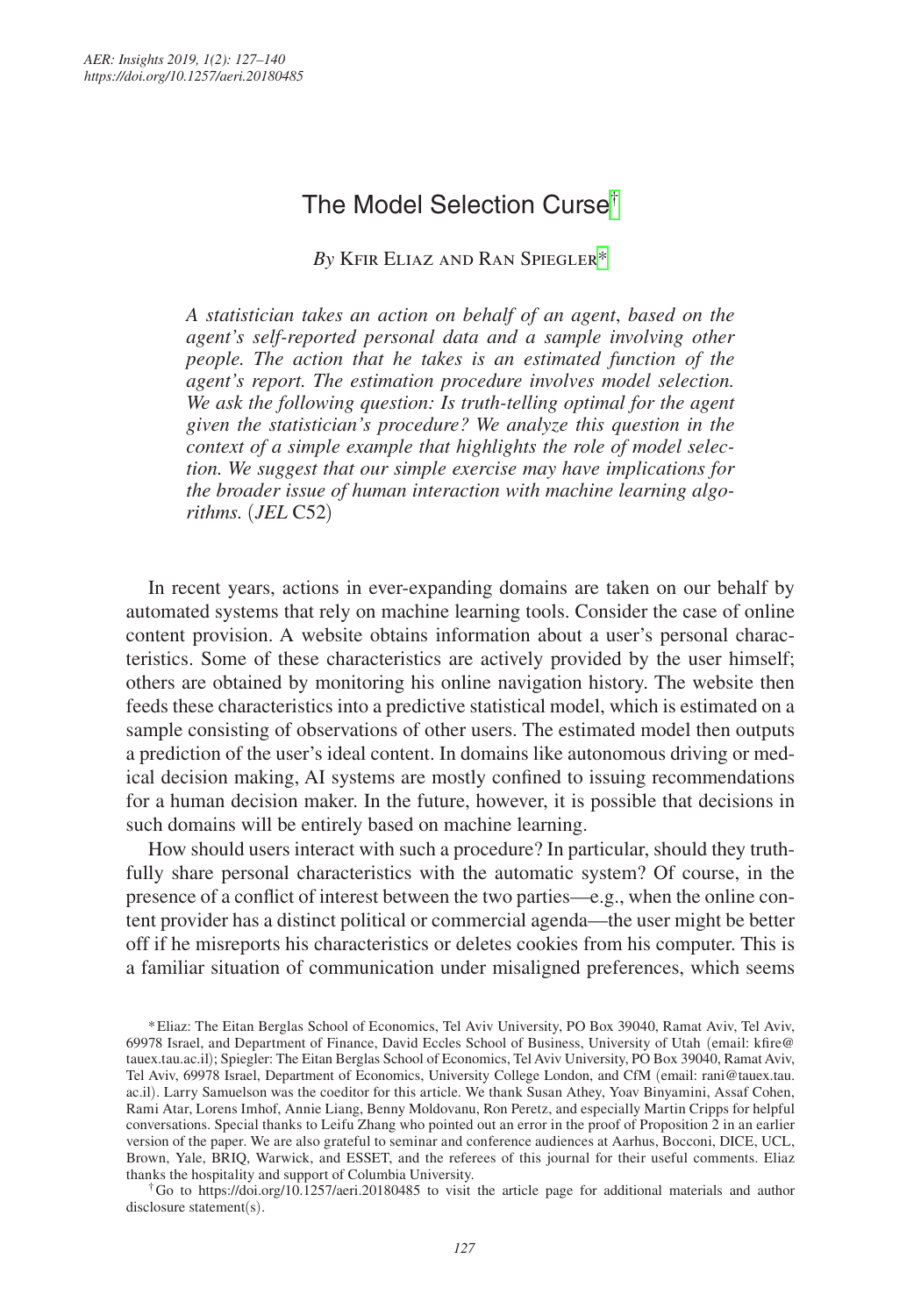# The Model Selection Curse<sup>[†](#page-0-0)</sup>

*By* Kfir Eliaz and Ran Spiegle[r\\*](#page-0-1)

*A statistician takes an action on behalf of an agent*, *based on the agent's self-reported personal data and a sample involving other people. The action that he takes is an estimated function of the agent's report. The estimation procedure involves model selection. We ask the following question: Is truth-telling optimal for the agent given the statistician's procedure? We analyze this question in the context of a simple example that highlights the role of model selection. We suggest that our simple exercise may have implications for the broader issue of human interaction with machine learning algorithms.* (*JEL* C52)

In recent years, actions in ever-expanding domains are taken on our behalf by automated systems that rely on machine learning tools. Consider the case of online content provision. A website obtains information about a user's personal characteristics. Some of these characteristics are actively provided by the user himself; others are obtained by monitoring his online navigation history. The website then feeds these characteristics into a predictive statistical model, which is estimated on a sample consisting of observations of other users. The estimated model then outputs a prediction of the user's ideal content. In domains like autonomous driving or medical decision making, AI systems are mostly confined to issuing recommendations for a human decision maker. In the future, however, it is possible that decisions in such domains will be entirely based on machine learning.

How should users interact with such a procedure? In particular, should they truthfully share personal characteristics with the automatic system? Of course, in the presence of a conflict of interest between the two parties—e.g., when the online content provider has a distinct political or commercial agenda—the user might be better off if he misreports his characteristics or deletes cookies from his computer. This is a familiar situation of communication under misaligned preferences, which seems

<span id="page-0-0"></span>†Go to <https://doi.org/10.1257/aeri.20180485> to visit the article page for additional materials and author disclosure statement(s).

<span id="page-0-1"></span><sup>\*</sup>Eliaz: The Eitan Berglas School of Economics, Tel Aviv University, PO Box 39040, Ramat Aviv, Tel Aviv, 69978 Israel, and Department of Finance, David Eccles School of Business, University of Utah (email: [kfire@](mailto:kfire@tauex.tau.ac.il) [tauex.tau.ac.il](mailto:kfire@tauex.tau.ac.il)); Spiegler: The Eitan Berglas School of Economics, Tel Aviv University, PO Box 39040, Ramat Aviv, Tel Aviv, 69978 Israel, Department of Economics, University College London, and CfM (email: [rani@tauex.tau.](mailto:rani@tauex.tau.ac.il) [ac.il](mailto:rani@tauex.tau.ac.il)). Larry Samuelson was the coeditor for this article. We thank Susan Athey, Yoav Binyamini, Assaf Cohen, Rami Atar, Lorens Imhof, Annie Liang, Benny Moldovanu, Ron Peretz, and especially Martin Cripps for helpful conversations. Special thanks to Leifu Zhang who pointed out an error in the proof of Proposition 2 in an earlier version of the paper. We are also grateful to seminar and conference audiences at Aarhus, Bocconi, DICE, UCL, Brown, Yale, BRIQ, Warwick, and ESSET, and the referees of this journal for their useful comments. Eliaz thanks the hospitality and support of Columbia University.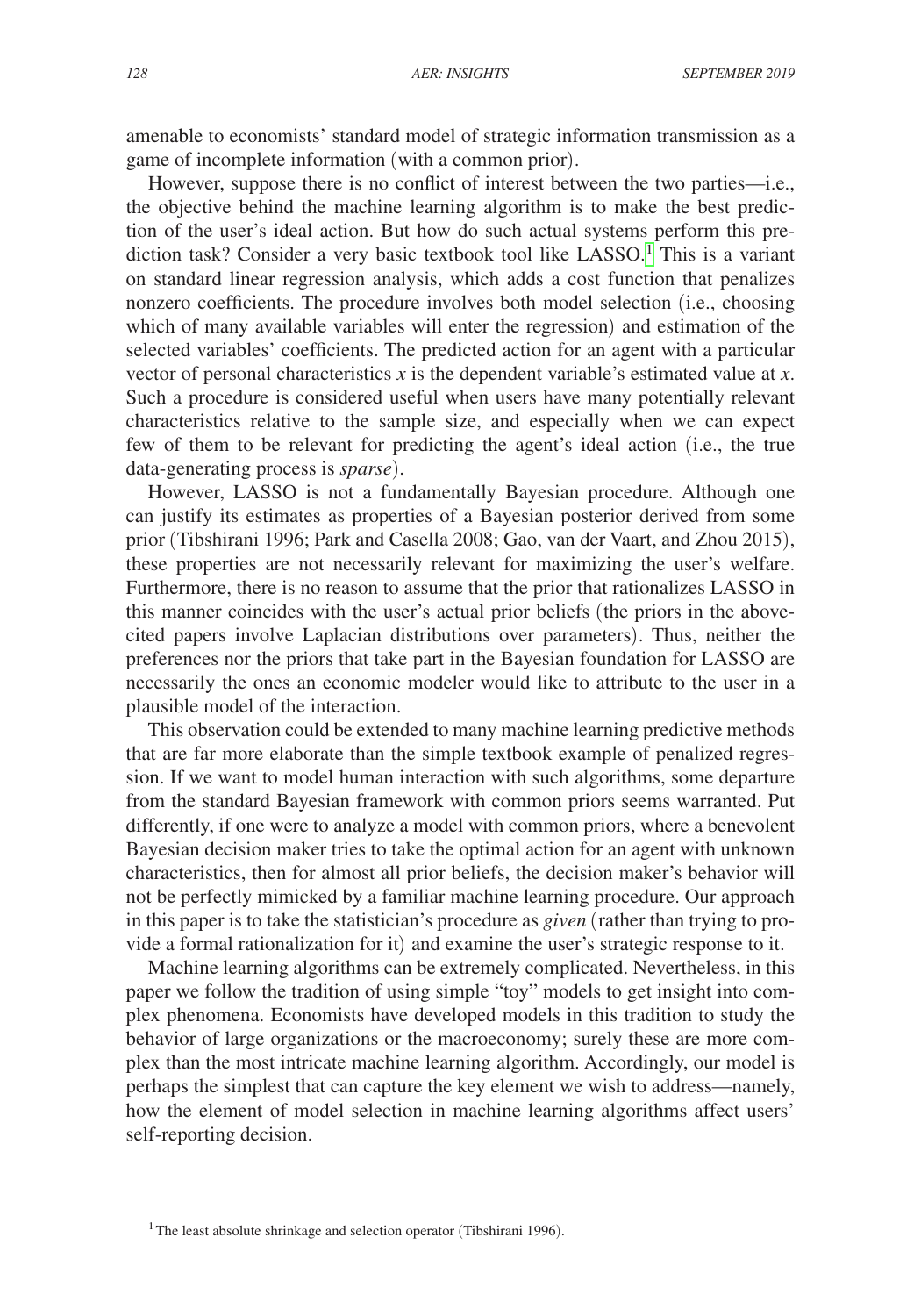amenable to economists' standard model of strategic information transmission as a game of incomplete information (with a common prior).

However, suppose there is no conflict of interest between the two parties—i.e., the objective behind the machine learning algorithm is to make the best prediction of the user's ideal action. But how do such actual systems perform this prediction task? Consider a very basic textbook tool like LASSO.<sup>1</sup> This is a variant on standard linear regression analysis, which adds a cost function that penalizes nonzero coefficients. The procedure involves both model selection (i.e., choosing which of many available variables will enter the regression) and estimation of the selected variables' coefficients. The predicted action for an agent with a particular vector of personal characteristics *x* is the dependent variable's estimated value at *x*. Such a procedure is considered useful when users have many potentially relevant characteristics relative to the sample size, and especially when we can expect few of them to be relevant for predicting the agent's ideal action (i.e., the true data-generating process is *sparse*).

However, LASSO is not a fundamentally Bayesian procedure. Although one can justify its estimates as properties of a Bayesian posterior derived from some prior (Tibshirani 1996; Park and Casella 2008; Gao, van der Vaart, and Zhou 2015), these properties are not necessarily relevant for maximizing the user's welfare. Furthermore, there is no reason to assume that the prior that rationalizes LASSO in this manner coincides with the user's actual prior beliefs (the priors in the abovecited papers involve Laplacian distributions over parameters). Thus, neither the preferences nor the priors that take part in the Bayesian foundation for LASSO are necessarily the ones an economic modeler would like to attribute to the user in a plausible model of the interaction.

This observation could be extended to many machine learning predictive methods that are far more elaborate than the simple textbook example of penalized regression. If we want to model human interaction with such algorithms, some departure from the standard Bayesian framework with common priors seems warranted. Put differently, if one were to analyze a model with common priors, where a benevolent Bayesian decision maker tries to take the optimal action for an agent with unknown characteristics, then for almost all prior beliefs, the decision maker's behavior will not be perfectly mimicked by a familiar machine learning procedure. Our approach in this paper is to take the statistician's procedure as *given* (rather than trying to provide a formal rationalization for it) and examine the user's strategic response to it.

Machine learning algorithms can be extremely complicated. Nevertheless, in this paper we follow the tradition of using simple "toy" models to get insight into complex phenomena. Economists have developed models in this tradition to study the behavior of large organizations or the macroeconomy; surely these are more complex than the most intricate machine learning algorithm. Accordingly, our model is perhaps the simplest that can capture the key element we wish to address—namely, how the element of model selection in machine learning algorithms affect users' self-reporting decision.

<span id="page-1-0"></span><sup>&</sup>lt;sup>1</sup>The least absolute shrinkage and selection operator (Tibshirani 1996).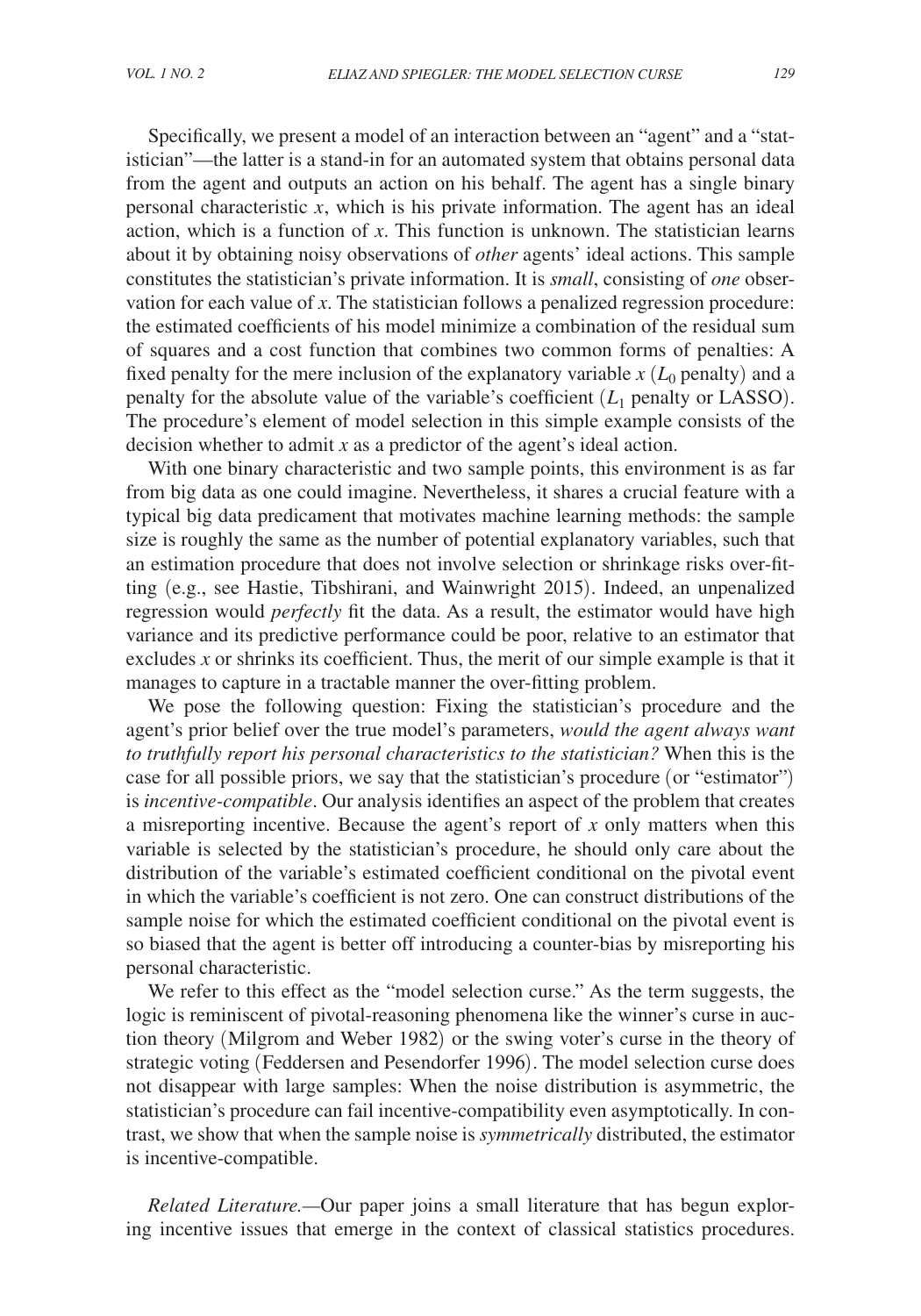Specifically, we present a model of an interaction between an "agent" and a "statistician"—the latter is a stand-in for an automated system that obtains personal data from the agent and outputs an action on his behalf. The agent has a single binary personal characteristic *x*, which is his private information. The agent has an ideal action, which is a function of *x*. This function is unknown. The statistician learns about it by obtaining noisy observations of *other* agents' ideal actions. This sample constitutes the statistician's private information. It is *small*, consisting of *one* observation for each value of *x*. The statistician follows a penalized regression procedure: the estimated coefficients of his model minimize a combination of the residual sum of squares and a cost function that combines two common forms of penalties: A fixed penalty for the mere inclusion of the explanatory variable  $x$  ( $L_0$  penalty) and a penalty for the absolute value of the variable's coefficient  $(L_1$  penalty or LASSO). The procedure's element of model selection in this simple example consists of the decision whether to admit *x* as a predictor of the agent's ideal action.

With one binary characteristic and two sample points, this environment is as far from big data as one could imagine. Nevertheless, it shares a crucial feature with a typical big data predicament that motivates machine learning methods: the sample size is roughly the same as the number of potential explanatory variables, such that an estimation procedure that does not involve selection or shrinkage risks over-fitting (e.g., see Hastie, Tibshirani, and Wainwright 2015). Indeed, an unpenalized regression would *perfectly* fit the data. As a result, the estimator would have high variance and its predictive performance could be poor, relative to an estimator that excludes *x* or shrinks its coefficient. Thus, the merit of our simple example is that it manages to capture in a tractable manner the over-fitting problem.

We pose the following question: Fixing the statistician's procedure and the agent's prior belief over the true model's parameters, *would the agent always want to truthfully report his personal characteristics to the statistician?* When this is the case for all possible priors, we say that the statistician's procedure (or "estimator") is *incentive-compatible*. Our analysis identifies an aspect of the problem that creates a misreporting incentive. Because the agent's report of *x* only matters when this variable is selected by the statistician's procedure, he should only care about the distribution of the variable's estimated coefficient conditional on the pivotal event in which the variable's coefficient is not zero. One can construct distributions of the sample noise for which the estimated coefficient conditional on the pivotal event is so biased that the agent is better off introducing a counter-bias by misreporting his personal characteristic.

We refer to this effect as the "model selection curse." As the term suggests, the logic is reminiscent of pivotal-reasoning phenomena like the winner's curse in auction theory (Milgrom and Weber 1982) or the swing voter's curse in the theory of strategic voting (Feddersen and Pesendorfer 1996). The model selection curse does not disappear with large samples: When the noise distribution is asymmetric, the statistician's procedure can fail incentive-compatibility even asymptotically. In contrast, we show that when the sample noise is *symmetrically* distributed, the estimator is incentive-compatible.

*Related Literature.—*Our paper joins a small literature that has begun exploring incentive issues that emerge in the context of classical statistics procedures.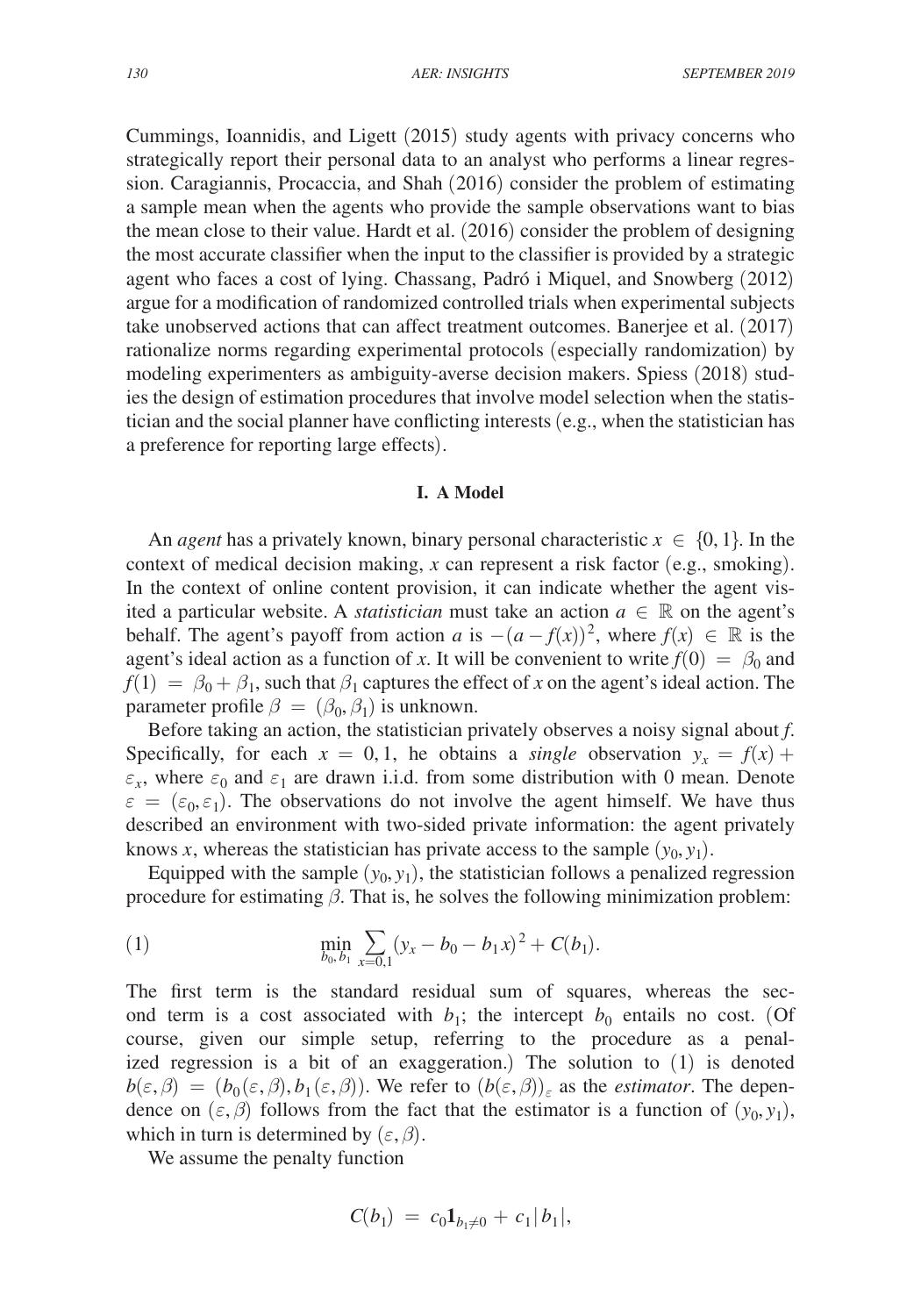Cummings, Ioannidis, and Ligett (2015) study agents with privacy concerns who strategically report their personal data to an analyst who performs a linear regression. Caragiannis, Procaccia, and Shah (2016) consider the problem of estimating a sample mean when the agents who provide the sample observations want to bias the mean close to their value. Hardt et al. (2016) consider the problem of designing the most accurate classifier when the input to the classifier is provided by a strategic agent who faces a cost of lying. Chassang, Padró i Miquel, and Snowberg (2012) argue for a modification of randomized controlled trials when experimental subjects take unobserved actions that can affect treatment outcomes. Banerjee et al. (2017) rationalize norms regarding experimental protocols (especially randomization) by modeling experimenters as ambiguity-averse decision makers. Spiess (2018) studies the design of estimation procedures that involve model selection when the statistician and the social planner have conflicting interests (e.g., when the statistician has a preference for reporting large effects).

## **I. A Model**

An *agent* has a privately known, binary personal characteristic  $x \in \{0, 1\}$ . In the context of medical decision making, *x* can represent a risk factor (e.g., smoking). In the context of online content provision, it can indicate whether the agent visited a particular website. A *statistician* must take an action  $a \in \mathbb{R}$  on the agent's behalf. The agent's payoff from action *a* is  $-(a - f(x))^2$ , where  $f(x) \in \mathbb{R}$  is the agent's ideal action as a function of *x*. It will be convenient to write  $f(0) = \beta_0$  and  $f(1) = \beta_0 + \beta_1$ , such that  $\beta_1$  captures the effect of *x* on the agent's ideal action. The parameter profile  $\beta = (\beta_0, \beta_1)$  is unknown.

Before taking an action, the statistician privately observes a noisy signal about *f*. Specifically, for each  $x = 0, 1$ , he obtains a *single* observation  $y_x = f(x) +$  $\varepsilon_x$ , where  $\varepsilon_0$  and  $\varepsilon_1$  are drawn i.i.d. from some distribution with 0 mean. Denote  $\varepsilon = (\varepsilon_0, \varepsilon_1)$ . The observations do not involve the agent himself. We have thus described an environment with two-sided private information: the agent privately knows *x*, whereas the statistician has private access to the sample  $(y_0, y_1)$ .

Equipped with the sample  $(y_0, y_1)$ , the statistician follows a penalized regression procedure for estimating  $\beta$ . That is, he solves the following minimization problem:

(1) 
$$
\min_{b_0, b_1} \sum_{x=0,1} (y_x - b_0 - b_1 x)^2 + C(b_1).
$$

The first term is the standard residual sum of squares, whereas the second term is a cost associated with  $b_1$ ; the intercept  $b_0$  entails no cost. (Of course, given our simple setup, referring to the procedure as a penalized regression is a bit of an exaggeration.) The solution to (1) is denoted  $b(\varepsilon,\beta) = (b_0(\varepsilon,\beta), b_1(\varepsilon,\beta))$ . We refer to  $(b(\varepsilon,\beta))_{\varepsilon}$  as the *estimator*. The dependence on  $(\varepsilon, \beta)$  follows from the fact that the estimator is a function of  $(y_0, y_1)$ , which in turn is determined by  $(\varepsilon, \beta)$ .

We assume the penalty function

$$
C(b_1) = c_0 \mathbf{1}_{b_1 \neq 0} + c_1 |b_1|,
$$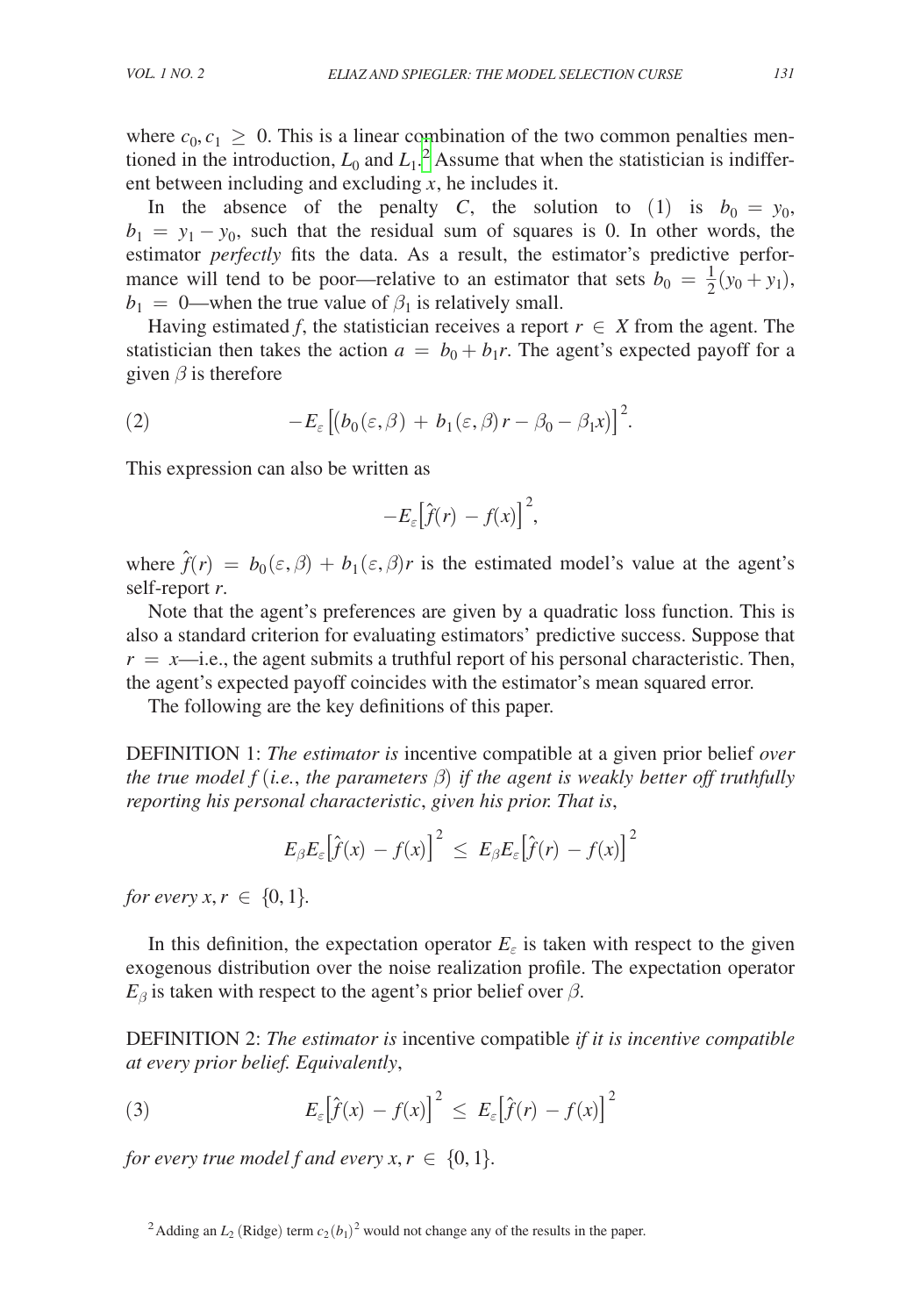where  $c_0, c_1 \geq 0$ . This is a linear combination of the two common penalties mentioned in the introduction,  $L_0$  and  $L_1$ .<sup>[2](#page-4-0)</sup> Assume that when the statistician is indifferent between including and excluding *x*, he includes it.

In the absence of the penalty *C*, the solution to (1) is  $b_0 = y_0$ ,  $b_1 = y_1 - y_0$ , such that the residual sum of squares is 0. In other words, the estimator *perfectly* fits the data. As a result, the estimator's predictive performance will tend to be poor—relative to an estimator that sets  $b_0 = \frac{1}{2}(y_0 + y_1)$ ,  $b_1 = 0$ —when the true value of  $\beta_1$  is relatively small.

Having estimated *f*, the statistician receives a report  $r \in X$  from the agent. The statistician then takes the action  $a = b_0 + b_1r$ . The agent's expected payoff for a given  $\beta$  is therefore

(2) 
$$
-E_{\varepsilon}\left[\left(b_0(\varepsilon,\beta)+b_1(\varepsilon,\beta)r-\beta_0-\beta_1x\right)\right]^2.
$$

This expression can also be written as

$$
-E_{\varepsilon}\big[\hat{f}(r) - f(x)\big]^{2},
$$

where  $\hat{f}(r) = b_0(\epsilon, \beta) + b_1(\epsilon, \beta)r$  is the estimated model's value at the agent's self-report *r*.

Note that the agent's preferences are given by a quadratic loss function. This is also a standard criterion for evaluating estimators' predictive success. Suppose that  $r = x$ —i.e., the agent submits a truthful report of his personal characteristic. Then, the agent's expected payoff coincides with the estimator's mean squared error.

The following are the key definitions of this paper.

DEFINITION 1: *The estimator is* incentive compatible at a given prior belief *over the true model f* (*i.e.*, *the parameters* β) *if the agent is weakly better off truthfully reporting his personal characteristic*, *given his prior. That is*,

$$
E_\beta E_\varepsilon\big[\hat{f}(x) - f(x)\big]^2 \, \leq \, E_\beta E_\varepsilon\big[\hat{f}(r) \, - f(x)\big]^2
$$

*for every*  $x, r \in \{0, 1\}$ .

In this definition, the expectation operator  $E_{\varepsilon}$  is taken with respect to the given exogenous distribution over the noise realization profile. The expectation operator  $E_\beta$  is taken with respect to the agent's prior belief over  $\beta$ .

DEFINITION 2: *The estimator is* incentive compatible *if it is incentive compatible at every prior belief. Equivalently*,

(3) 
$$
E_{\varepsilon} \left[ \hat{f}(x) - f(x) \right]^2 \leq E_{\varepsilon} \left[ \hat{f}(r) - f(x) \right]^2
$$

*for every true model f and every*  $x, r \in \{0, 1\}$ .

<span id="page-4-0"></span><sup>&</sup>lt;sup>2</sup> Adding an  $L_2$  (Ridge) term  $c_2(b_1)^2$  would not change any of the results in the paper.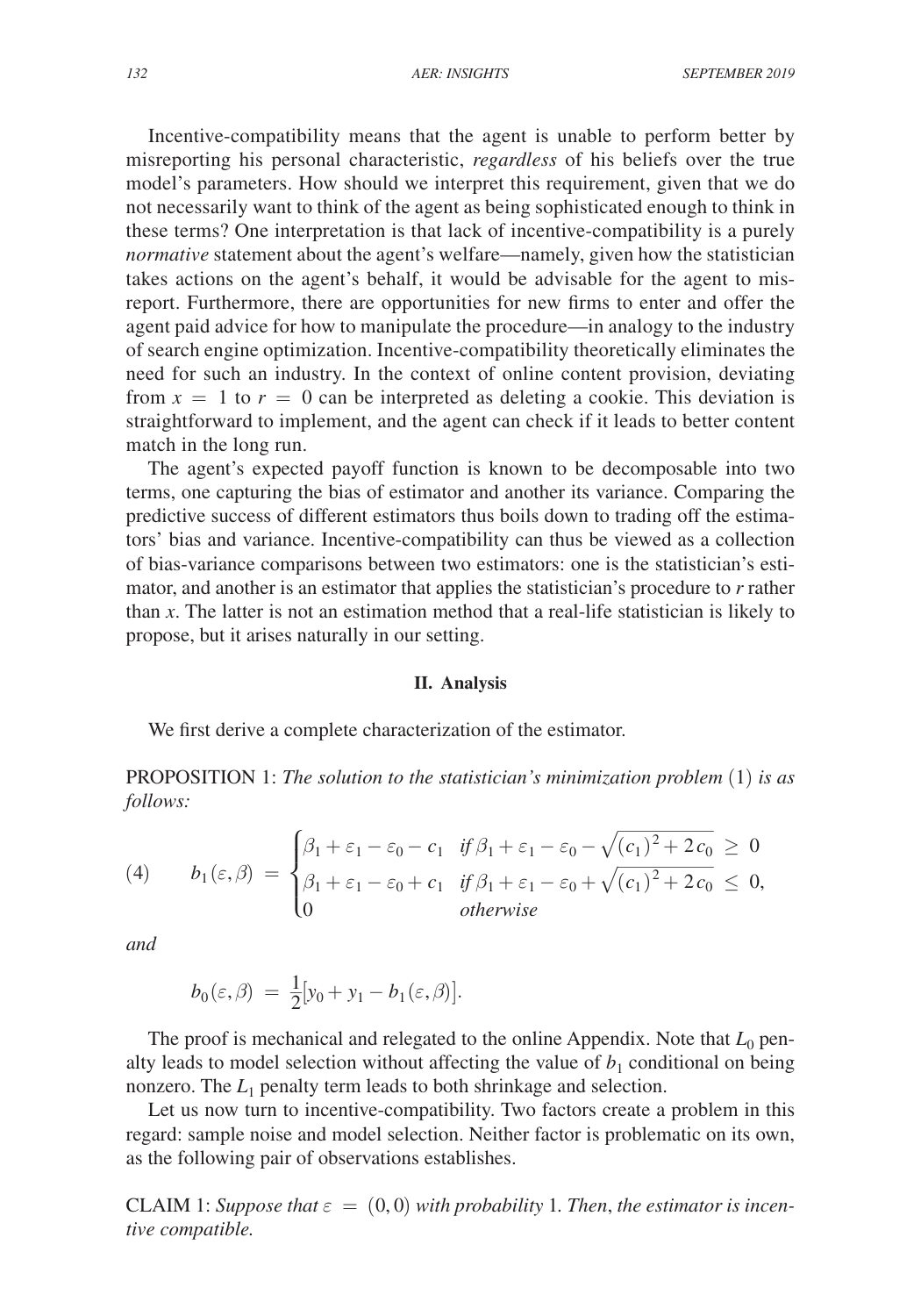Incentive-compatibility means that the agent is unable to perform better by misreporting his personal characteristic, *regardless* of his beliefs over the true model's parameters. How should we interpret this requirement, given that we do not necessarily want to think of the agent as being sophisticated enough to think in these terms? One interpretation is that lack of incentive-compatibility is a purely *normative* statement about the agent's welfare—namely, given how the statistician takes actions on the agent's behalf, it would be advisable for the agent to misreport. Furthermore, there are opportunities for new firms to enter and offer the agent paid advice for how to manipulate the procedure—in analogy to the industry of search engine optimization. Incentive-compatibility theoretically eliminates the need for such an industry. In the context of online content provision, deviating from  $x = 1$  to  $r = 0$  can be interpreted as deleting a cookie. This deviation is straightforward to implement, and the agent can check if it leads to better content match in the long run.

The agent's expected payoff function is known to be decomposable into two terms, one capturing the bias of estimator and another its variance. Comparing the predictive success of different estimators thus boils down to trading off the estimators' bias and variance. Incentive-compatibility can thus be viewed as a collection of bias-variance comparisons between two estimators: one is the statistician's estimator, and another is an estimator that applies the statistician's procedure to *r* rather than *x*. The latter is not an estimation method that a real-life statistician is likely to propose, but it arises naturally in our setting.

#### **II. Analysis**

We first derive a complete characterization of the estimator.

PROPOSITION 1: *The solution to the statistician's minimization problem* (1) *is as follows:*

PROPOSITION 1: The solution to the statistician's minimization problem (1) is as follows:  
\n(4) 
$$
b_1(\varepsilon, \beta) = \begin{cases} \beta_1 + \varepsilon_1 - \varepsilon_0 - c_1 & \text{if } \beta_1 + \varepsilon_1 - \varepsilon_0 - \sqrt{(c_1)^2 + 2c_0} \ge 0 \\ \beta_1 + \varepsilon_1 - \varepsilon_0 + c_1 & \text{if } \beta_1 + \varepsilon_1 - \varepsilon_0 + \sqrt{(c_1)^2 + 2c_0} \le 0, \\ 0 & \text{otherwise} \end{cases}
$$

*and*

$$
b_0(\varepsilon,\beta) = \frac{1}{2}[y_0 + y_1 - b_1(\varepsilon,\beta)].
$$

The proof is mechanical and relegated to the online Appendix. Note that  $L_0$  penalty leads to model selection without affecting the value of  $b_1$  conditional on being nonzero. The *L*1 penalty term leads to both shrinkage and selection.

Let us now turn to incentive-compatibility. Two factors create a problem in this regard: sample noise and model selection. Neither factor is problematic on its own, as the following pair of observations establishes.

CLAIM 1: *Suppose that*  $\varepsilon = (0,0)$  with probability 1. Then, the estimator is incen*tive compatible.*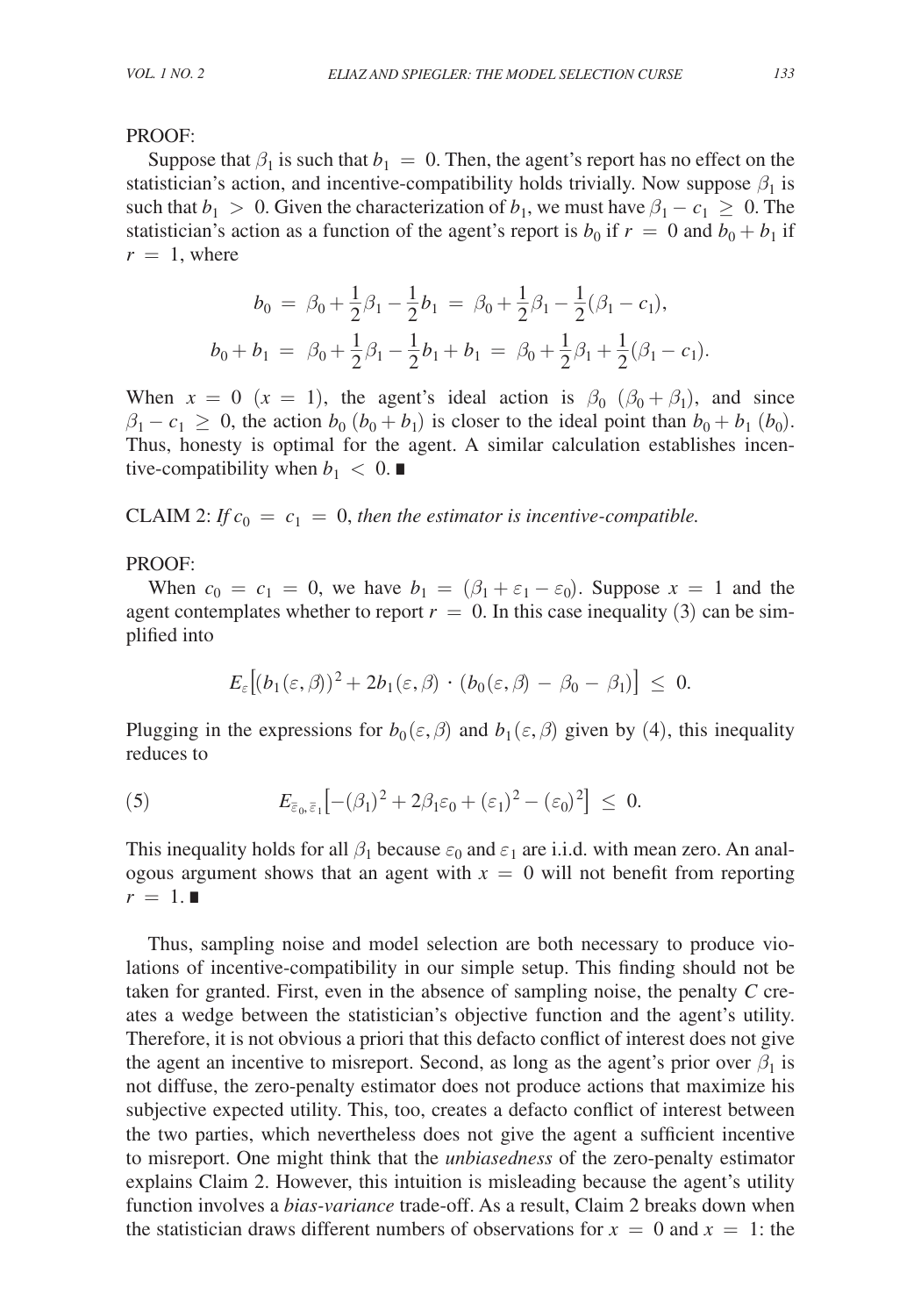## PROOF:

Suppose that  $\beta_1$  is such that  $b_1 = 0$ . Then, the agent's report has no effect on the statistician's action, and incentive-compatibility holds trivially. Now suppose  $\beta_1$  is such that  $b_1 > 0$ . Given the characterization of  $b_1$ , we must have  $\beta_1 - c_1 \geq 0$ . The statistician's action as a function of the agent's report is  $b_0$  if  $r = 0$  and  $b_0 + b_1$  if  $r = 1$ , where

$$
b_0 = \beta_0 + \frac{1}{2}\beta_1 - \frac{1}{2}b_1 = \beta_0 + \frac{1}{2}\beta_1 - \frac{1}{2}(\beta_1 - c_1),
$$
  

$$
b_0 + b_1 = \beta_0 + \frac{1}{2}\beta_1 - \frac{1}{2}b_1 + b_1 = \beta_0 + \frac{1}{2}\beta_1 + \frac{1}{2}(\beta_1 - c_1).
$$

When  $x = 0$  ( $x = 1$ ), the agent's ideal action is  $\beta_0$  ( $\beta_0 + \beta_1$ ), and since  $\beta_1 - c_1 \geq 0$ , the action  $b_0$  ( $b_0 + b_1$ ) is closer to the ideal point than  $b_0 + b_1$  ( $b_0$ ). Thus, honesty is optimal for the agent. A similar calculation establishes incentive-compatibility when  $b_1 < 0$ .

CLAIM 2: *If*  $c_0 = c_1 = 0$ *, then the estimator is incentive-compatible.* 

# PROOF:

When  $c_0 = c_1 = 0$ , we have  $b_1 = (\beta_1 + \varepsilon_1 - \varepsilon_0)$ . Suppose  $x = 1$  and the agent contemplates whether to report  $r = 0$ . In this case inequality (3) can be simplified into

$$
E_\varepsilon \big[ (b_1(\varepsilon,\beta))^2 + 2b_1(\varepsilon,\beta) \, \cdot \, (b_0(\varepsilon,\beta) \, - \, \beta_0 \, - \, \beta_1) \big] \, \leq \, 0.
$$

Plugging in the expressions for  $b_0(\varepsilon,\beta)$  and  $b_1(\varepsilon,\beta)$  given by (4), this inequality reduces to

(5) 
$$
E_{\bar{\varepsilon}_0,\bar{\varepsilon}_1}[-(\beta_1)^2+2\beta_1\varepsilon_0+(\varepsilon_1)^2-(\varepsilon_0)^2] \leq 0.
$$

This inequality holds for all  $\beta_1$  because  $\varepsilon_0$  and  $\varepsilon_1$  are i.i.d. with mean zero. An analogous argument shows that an agent with  $x = 0$  will not benefit from reporting  $r = 1.$ ■

Thus, sampling noise and model selection are both necessary to produce violations of incentive-compatibility in our simple setup. This finding should not be taken for granted. First, even in the absence of sampling noise, the penalty *C* creates a wedge between the statistician's objective function and the agent's utility. Therefore, it is not obvious a priori that this defacto conflict of interest does not give the agent an incentive to misreport. Second, as long as the agent's prior over  $\beta_1$  is not diffuse, the zero-penalty estimator does not produce actions that maximize his subjective expected utility. This, too, creates a defacto conflict of interest between the two parties, which nevertheless does not give the agent a sufficient incentive to misreport. One might think that the *unbiasedness* of the zero-penalty estimator explains Claim 2. However, this intuition is misleading because the agent's utility function involves a *bias-variance* trade-off. As a result, Claim 2 breaks down when the statistician draws different numbers of observations for  $x = 0$  and  $x = 1$ : the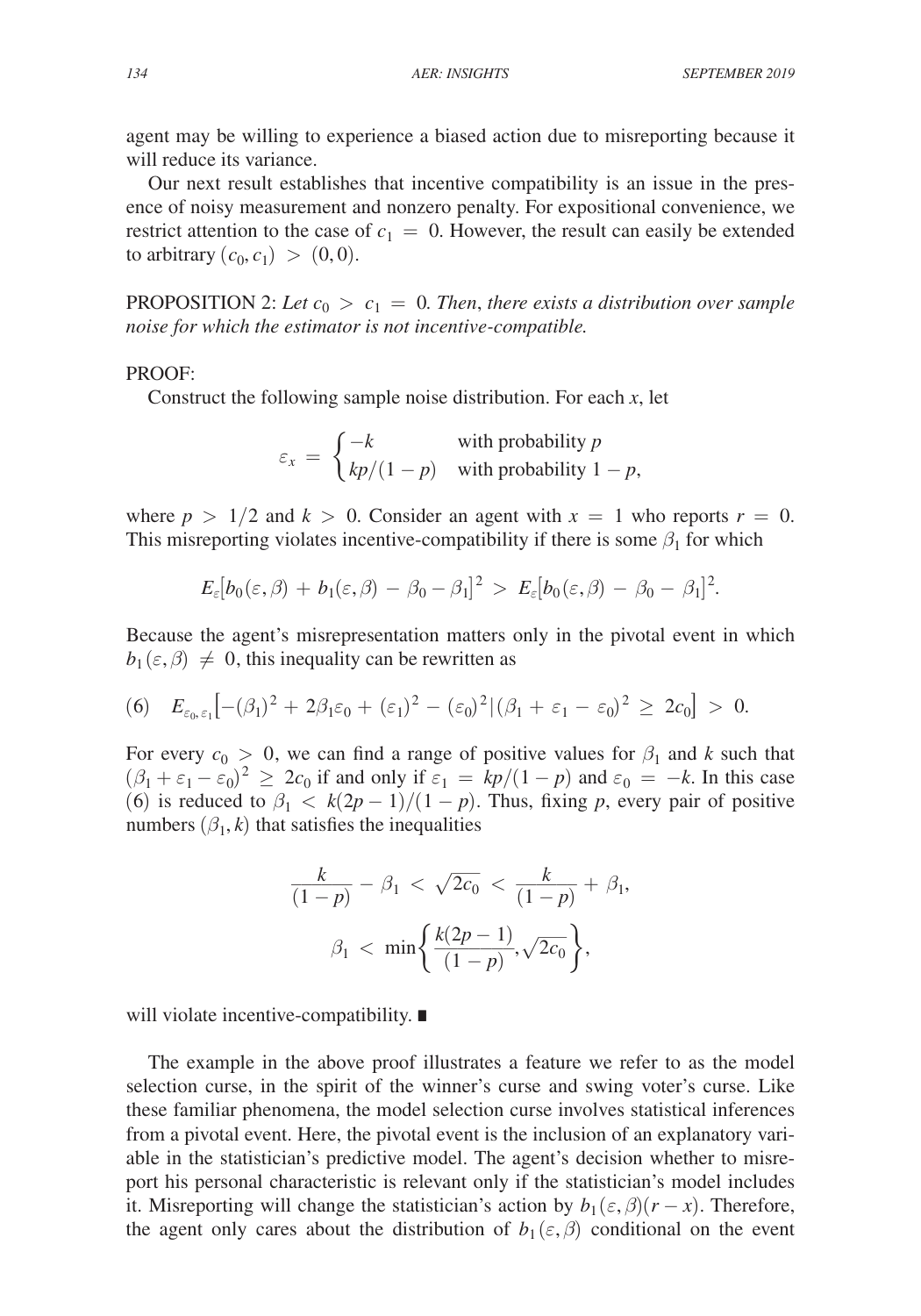agent may be willing to experience a biased action due to misreporting because it will reduce its variance.

Our next result establishes that incentive compatibility is an issue in the presence of noisy measurement and nonzero penalty. For expositional convenience, we restrict attention to the case of  $c_1 = 0$ . However, the result can easily be extended to arbitrary  $(c_0, c_1) > (0, 0)$ .

PROPOSITION 2: Let  $c_0 > c_1 = 0$ . Then, there exists a distribution over sample *noise for which the estimator is not incentive-compatible.*

## PROOF:

Construct the following sample noise distribution. For each *x*, let  
\n
$$
\varepsilon_x = \begin{cases}\n-k & \text{with probability } p \\
kp/(1-p) & \text{with probability } 1-p,\n\end{cases}
$$

where  $p > 1/2$  and  $k > 0$ . Consider an agent with  $x = 1$  who reports  $r = 0$ . This misreporting violates incentive-compatibility if there is some  $\beta_1$  for which

$$
E_\varepsilon[b_0(\varepsilon,\beta)+b_1(\varepsilon,\beta)-\beta_0-\beta_1]^2 \,>\, E_\varepsilon[b_0(\varepsilon,\beta)-\beta_0-\beta_1]^2.
$$

Because the agent's misrepresentation matters only in the pivotal event in which  $b_1(\varepsilon,\beta) \neq 0$ , this inequality can be rewritten as

(6) 
$$
E_{\varepsilon_0,\varepsilon_1}\big[-(\beta_1)^2+2\beta_1\varepsilon_0+(\varepsilon_1)^2-(\varepsilon_0)^2|(\beta_1+\varepsilon_1-\varepsilon_0)^2\geq 2c_0\big] > 0.
$$

For every  $c_0 > 0$ , we can find a range of positive values for  $\beta_1$  and k such that  $(\beta_1 + \varepsilon_1 - \varepsilon_0)^2 \geq 2c_0$  if and only if  $\varepsilon_1 = kp/(1-p)$  and  $\varepsilon_0 = -k$ . In this case (6) is reduced to  $\beta_1 < k(2p-1)/(1-p)$ . Thus, fixing p, every pair of positive numbers  $(\beta_1, k)$  that satisfies the inequalities

$$
\frac{k}{(1-p)} - \beta_1 < \sqrt{2c_0} < \frac{k}{(1-p)} + \beta_1,
$$
\n
$$
\beta_1 < \min\left\{\frac{k(2p-1)}{(1-p)}, \sqrt{2c_0}\right\},
$$

will violate incentive-compatibility. ∎

The example in the above proof illustrates a feature we refer to as the model selection curse, in the spirit of the winner's curse and swing voter's curse. Like these familiar phenomena, the model selection curse involves statistical inferences from a pivotal event. Here, the pivotal event is the inclusion of an explanatory variable in the statistician's predictive model. The agent's decision whether to misreport his personal characteristic is relevant only if the statistician's model includes it. Misreporting will change the statistician's action by  $b_1(\varepsilon, \beta)(r - x)$ . Therefore, the agent only cares about the distribution of  $b_1(\varepsilon,\beta)$  conditional on the event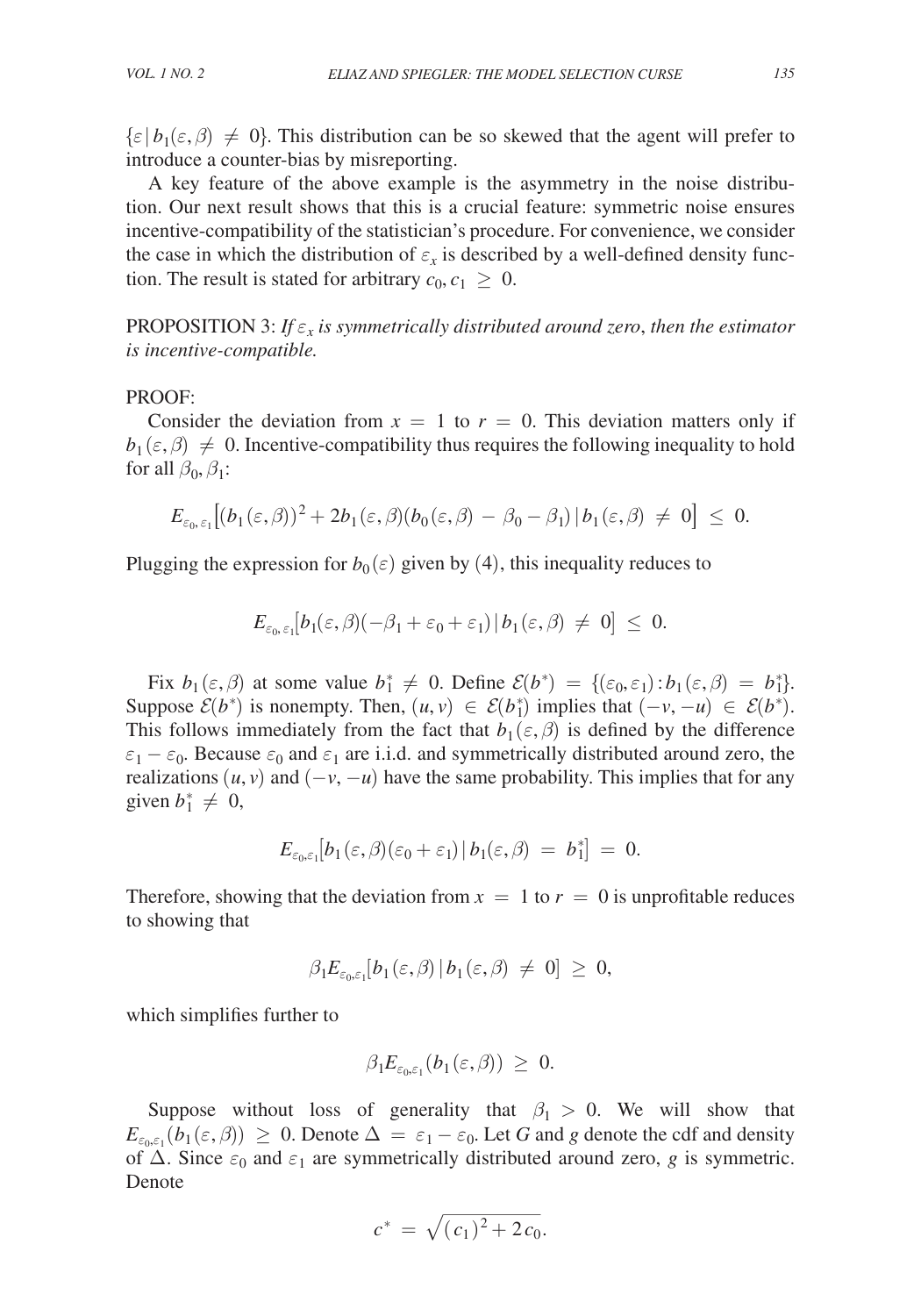$\{\varepsilon | b_1(\varepsilon, \beta) \neq 0\}$ . This distribution can be so skewed that the agent will prefer to introduce a counter-bias by misreporting.

A key feature of the above example is the asymmetry in the noise distribution. Our next result shows that this is a crucial feature: symmetric noise ensures incentive-compatibility of the statistician's procedure. For convenience, we consider the case in which the distribution of  $\varepsilon_x$  is described by a well-defined density function. The result is stated for arbitrary  $c_0, c_1 \geq 0$ .

PROPOSITION 3: *If* ε*x is symmetrically distributed around zero*, *then the estimator is incentive-compatible.*

#### PROOF:

Consider the deviation from  $x = 1$  to  $r = 0$ . This deviation matters only if  $b_1(\varepsilon,\beta) \neq 0$ . Incentive-compatibility thus requires the following inequality to hold for all  $\beta_0$ ,  $\beta_1$ :

$$
E_{\varepsilon_0,\,\varepsilon_1}\big[(b_1(\varepsilon,\beta))^2+2b_1(\varepsilon,\beta)(b_0(\varepsilon,\beta)-\beta_0-\beta_1)\,| \,b_1(\varepsilon,\beta)\,\neq\,0\big]\,\leq\,0.
$$

Plugging the expression for  $b_0(\varepsilon)$  given by (4), this inequality reduces to

$$
E_{\varepsilon_0,\,\varepsilon_1}[b_1(\varepsilon,\beta)(-\beta_1+\varepsilon_0+\varepsilon_1)\,|\,b_1(\varepsilon,\beta)\ \neq\ 0]\ \leq\ 0.
$$

Fix  $b_1(\varepsilon, \beta)$  at some value  $b_1^* \neq 0$ . Define  $\mathcal{E}(b^*) = \{(\varepsilon_0, \varepsilon_1) : b_1(\varepsilon, \beta) = b_1^*\}.$ Suppose  $\mathcal{E}(b^*)$  is nonempty. Then,  $(u, v) \in \mathcal{E}(b^*)$  implies that  $(-v, -u) \in \mathcal{E}(b^*)$ . This follows immediately from the fact that  $b_1(\varepsilon, \beta)$  is defined by the difference  $\varepsilon_1 - \varepsilon_0$ . Because  $\varepsilon_0$  and  $\varepsilon_1$  are i.i.d. and symmetrically distributed around zero, the realizations  $(u, v)$  and  $(-v, -u)$  have the same probability. This implies that for any given  $b_1^* \neq 0$ ,

$$
E_{\varepsilon_0,\varepsilon_1}[b_1(\varepsilon,\beta)(\varepsilon_0+\varepsilon_1)\,|\,b_1(\varepsilon,\beta)\,=\,b_1^*\big]\,=\,0.
$$

Therefore, showing that the deviation from  $x = 1$  to  $r = 0$  is unprofitable reduces to showing that

$$
\beta_1 E_{\varepsilon_0,\varepsilon_1}[b_1(\varepsilon,\beta) \, | \, b_1(\varepsilon,\beta) \ \neq \ 0] \ \geq \ 0,
$$

which simplifies further to

$$
\beta_1 E_{\varepsilon_0,\varepsilon_1}(b_1(\varepsilon,\beta)) \ \geq \ 0.
$$

Suppose without loss of generality that  $\beta_1 > 0$ . We will show that *E*<sub>ε<sub>0,ε1</sub> (*b*<sub>1</sub> ( $\varepsilon$ ,  $\beta$ ))  $\geq$  0. Denote  $\Delta = \varepsilon_1 - \varepsilon_0$ . Let *G* and *g* denote the cdf and density of  $\Delta$ . Since  $\varepsilon_0$  and  $\varepsilon_1$  are symmetrically distributed around zero, *g* is symmetric. Denote  $c^*$ of  $\Delta$ . Since  $\varepsilon_0$  and  $\varepsilon_1$  are symmetrically distributed around zero, *g* is symmetric. Denote

$$
c^* = \sqrt{(c_1)^2 + 2c_0}.
$$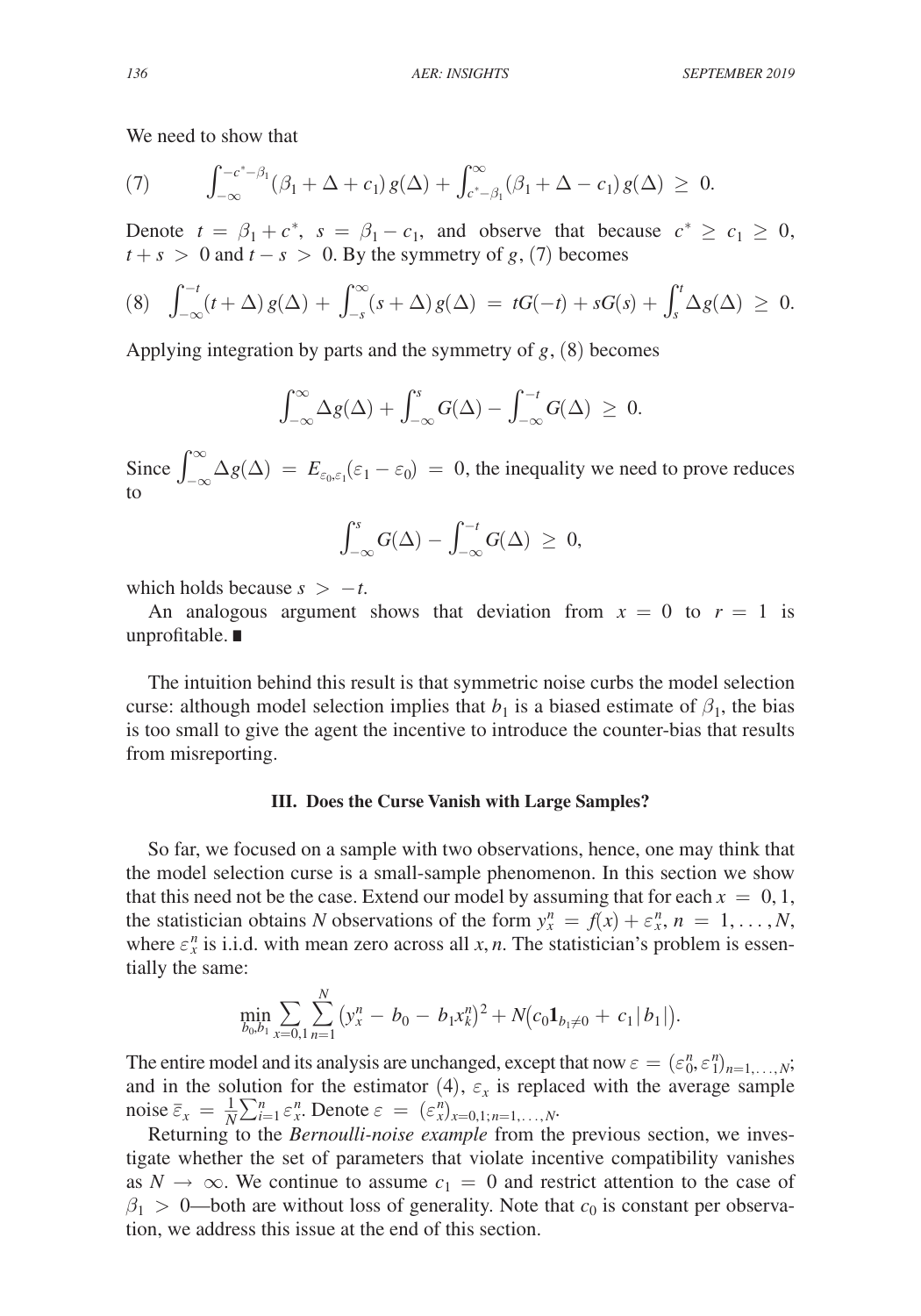We need to show that

(7) 
$$
\int_{-\infty}^{-c^*-\beta_1} (\beta_1 + \Delta + c_1) g(\Delta) + \int_{c^*-\beta_1}^{\infty} (\beta_1 + \Delta - c_1) g(\Delta) \geq 0.
$$

Denote  $t = \beta_1 + c^*$ ,  $s = \beta_1 - c_1$ , and observe that because  $c^* \ge c_1 \ge 0$ ,  $t + s > 0$  and  $t - s > 0$ . By the symmetry of *g*, (7) becomes

$$
(8) \quad \int_{-\infty}^{-t} (t+\Delta) g(\Delta) + \int_{-s}^{\infty} (s+\Delta) g(\Delta) = tG(-t) + sG(s) + \int_{s}^{t} \Delta g(\Delta) \geq 0.
$$

Applying integration by parts and the symmetry of *g*, (8) becomes

$$
\int_{-\infty}^{\infty}\Delta g(\Delta) + \int_{-\infty}^{s} G(\Delta) - \int_{-\infty}^{-t} G(\Delta) ~\geq ~ 0.
$$

Since  $\int_{-\infty}^{\infty} \Delta g(\Delta) = E_{\varepsilon_0, \varepsilon_1}(\varepsilon_1 - \varepsilon_0) = 0$ , the inequality we need to prove reduces to

$$
\int_{-\infty}^s G(\Delta) - \int_{-\infty}^{-t} G(\Delta) \ \geq \ 0,
$$

which holds because  $s > -t$ .

An analogous argument shows that deviation from  $x = 0$  to  $r = 1$  is unprofitable. ∎

The intuition behind this result is that symmetric noise curbs the model selection curse: although model selection implies that  $b_1$  is a biased estimate of  $\beta_1$ , the bias is too small to give the agent the incentive to introduce the counter-bias that results from misreporting.

#### **III. Does the Curse Vanish with Large Samples?**

So far, we focused on a sample with two observations, hence, one may think that the model selection curse is a small-sample phenomenon. In this section we show that this need not be the case. Extend our model by assuming that for each  $x = 0, 1$ , the statistician obtains *N* observations of the form  $y_x^n = f(x) + \varepsilon_x^n$ ,  $n = 1, ..., N$ , where  $\varepsilon_x^n$  is i.i.d. with mean zero across all *x*, *n*. The statistician's problem is essentially the same:

$$
\min_{b_0, b_1} \sum_{x=0, 1} \sum_{n=1}^N (y_x^n - b_0 - b_1 x_k^n)^2 + N(c_0 \mathbf{1}_{b_1 \neq 0} + c_1 |b_1|).
$$

The entire model and its analysis are unchanged, except that now  $\varepsilon = (\varepsilon_0^n, \varepsilon_1^n)_{n=1,\dots,N}$ ; and in the solution for the estimator  $(4)$ ,  $\varepsilon_x$  is replaced with the average sample noise  $\overline{\varepsilon}_x = \frac{1}{N} \sum_{i=1}^n \varepsilon_x^n$ . Denote  $\varepsilon = (\varepsilon_x^n)_{x=0,1; n=1,\dots,N}$ .

Returning to the *Bernoulli-noise example* from the previous section, we investigate whether the set of parameters that violate incentive compatibility vanishes as  $N \to \infty$ . We continue to assume  $c_1 = 0$  and restrict attention to the case of  $\beta_1 > 0$ —both are without loss of generality. Note that  $c_0$  is constant per observation, we address this issue at the end of this section.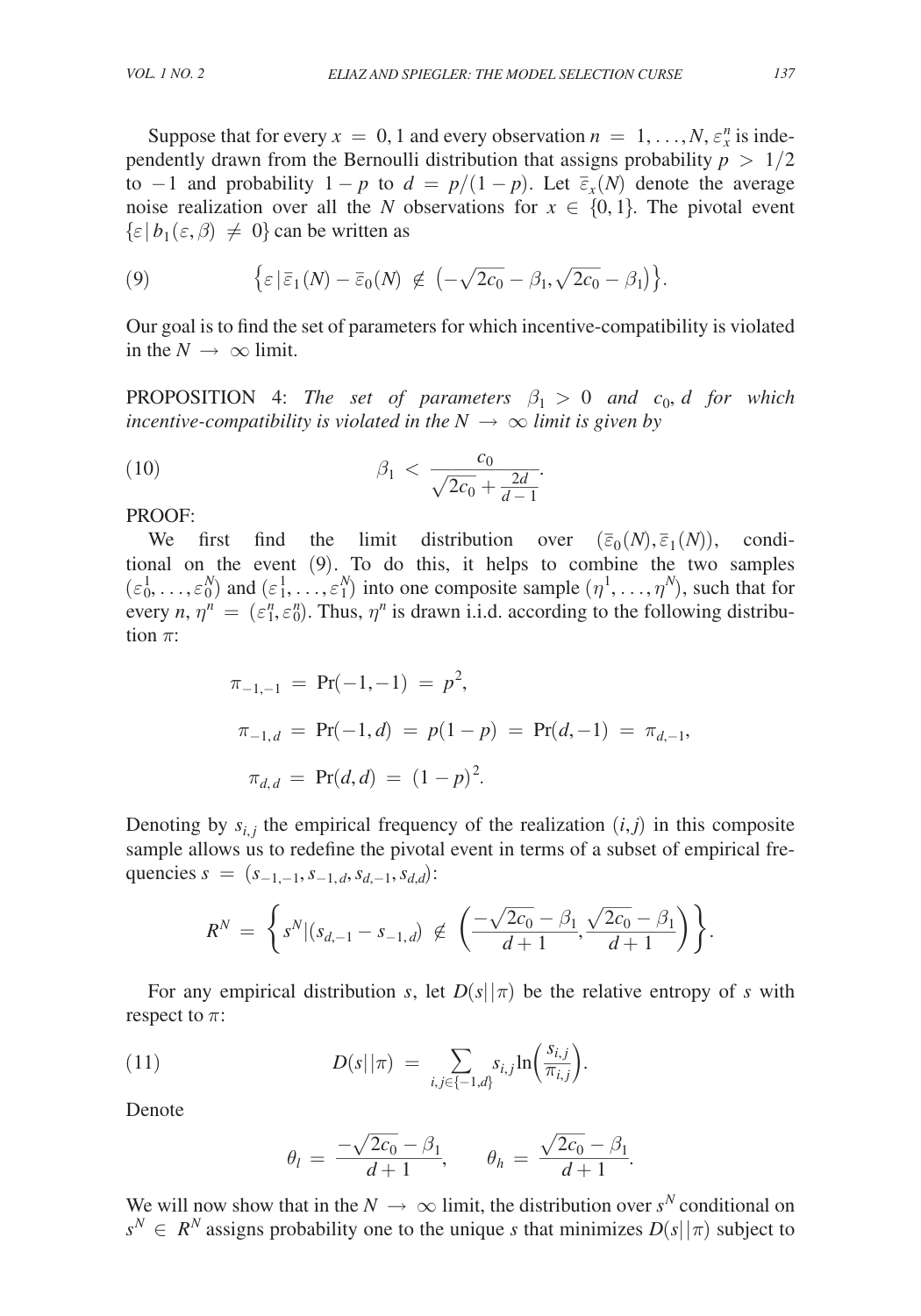Suppose that for every  $x = 0, 1$  and every observation  $n = 1, ..., N, \varepsilon_x^n$  is independently drawn from the Bernoulli distribution that assigns probability  $p > 1/2$ to  $-1$  and probability  $1 - p$  to  $d = p/(1 - p)$ . Let  $\overline{\varepsilon}_x(N)$  denote the average noise realization over all the *N* observations for  $x \in \{0, 1\}$ . The pivotal event  $\{\varepsilon \, | \, b_1(\varepsilon, \beta) \neq 0\}$  can be written as

(9) 
$$
\{\varepsilon \mid \overline{\varepsilon}_1(N) - \overline{\varepsilon}_0(N) \notin \left(-\sqrt{2c_0} - \beta_1, \sqrt{2c_0} - \beta_1\right)\}.
$$

Our goal is to find the set of parameters for which incentive-compatibility is violated in the  $N \rightarrow \infty$  limit.

**PROPOSITION** 4: *The set of parameters*  $\beta_1 > 0$  *and*  $c_0$ , *d for which incentive-compatibility is violated in the*  $N \rightarrow \infty$  *limit is given by* 

(10) 
$$
\beta_1 < \frac{c_0}{\sqrt{2c_0} + \frac{2d}{d-1}}.
$$

PROOF:

We first find the limit distribution over  $(\bar{\epsilon}_0(N), \bar{\epsilon}_1(N))$ , conditional on the event (9). To do this, it helps to combine the two samples  $(\epsilon_0^1, \ldots, \epsilon_0^N)$  and  $(\epsilon_1^1, \ldots, \epsilon_1^N)$  into one composite sample  $(\eta^1, \ldots, \eta^N)$ , such that for every *n*,  $\eta^n = (\varepsilon_1^n, \varepsilon_0^n)$ . Thus,  $\eta^n$  is drawn i.i.d. according to the following distribution  $\pi$ :

$$
\pi_{-1,-1} = \Pr(-1,-1) = p^2,
$$
  
\n
$$
\pi_{-1,d} = \Pr(-1,d) = p(1-p) = \Pr(d,-1) = \pi_{d,-1},
$$
  
\n
$$
\pi_{d,d} = \Pr(d,d) = (1-p)^2.
$$

Denoting by  $s_{i,j}$  the empirical frequency of the realization  $(i,j)$  in this composite sample allows us to redefine the pivotal event in terms of a subset of empirical frequencies  $s = (s_{-1,-1}, s_{-1,d}, s_{d,-1}, s_{d,d})$ : 2*c*<sub>0</sub> − *β*<sub>1</sub>  $\sqrt{2c_0} - \beta_1$ <br>  $\frac{1}{d+1}$ ,  $\frac{\sqrt{2c_0} - \beta_1}{d+1}$ <br>  $\frac{1}{d+1}$ <br>  $\frac{1}{d+1}$ <br>  $\frac{1}{d+1}$ 

$$
R^N = \left\{ s^N | (s_{d,-1} - s_{-1,d}) \notin \left( \frac{-\sqrt{2c_0} - \beta_1}{d+1}, \frac{\sqrt{2c_0} - \beta_1}{d+1} \right) \right\}.
$$

For any empirical distribution *s*, let  $D(s||\pi)$  be the relative entropy of *s* with respect to  $\pi$ :

(11)  
\n
$$
D(s||\pi) = \sum_{i,j \in \{-1,d\}} s_{i,j} \ln\left(\frac{s_{i,j}}{\pi_{i,j}}\right).
$$
\nDenote  
\n
$$
\theta_l = \frac{-\sqrt{2c_0} - \beta_1}{d+1}, \qquad \theta_h = \frac{\sqrt{2c_0} - \beta_1}{d+1}.
$$
\nWe will now show that in the  $N \to \infty$  limit, the distribution over  $s^N$  conditional on  $s^N$   $\infty$   $s^N$ 

Denote

Denote  
\n
$$
\theta_l = \frac{-\sqrt{2c_0} - \beta_1}{d+1}, \qquad \theta_h = \frac{\sqrt{2c_0} - \beta_1}{d+1}.
$$

 $s^N \in R^N$  assigns probability one to the unique *s* that minimizes  $D(s||\pi)$  subject to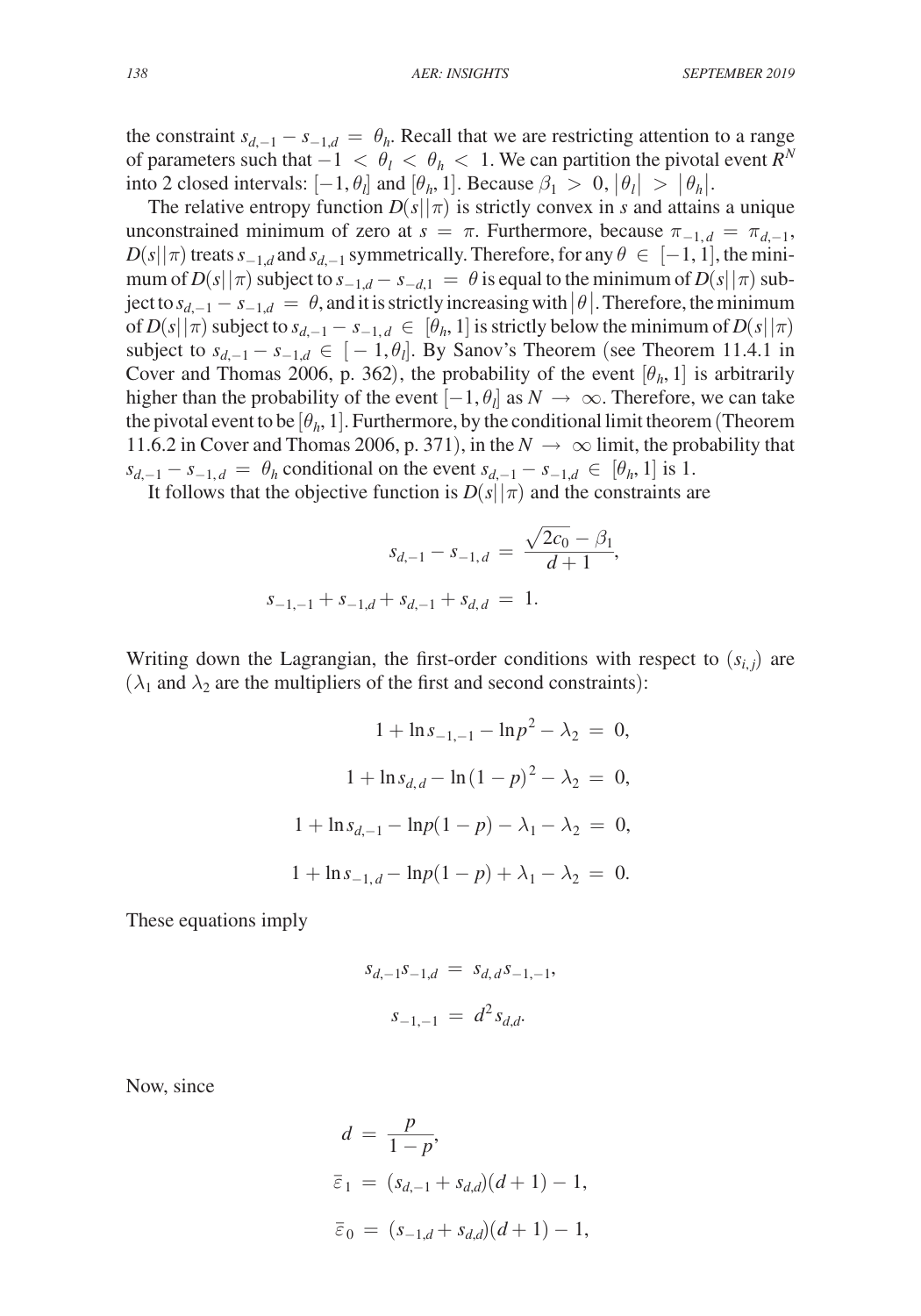the constraint  $s_{d,-1} - s_{-1,d} = \theta_h$ . Recall that we are restricting attention to a range of parameters such that  $-1 < \theta_l < \theta_h < 1$ . We can partition the pivotal event  $R^N$ into 2 closed intervals:  $[-1, \theta_l]$  and  $[\theta_h, 1]$ . Because  $\beta_1 > 0$ ,  $|\theta_l| > |\theta_h|$ .

The relative entropy function  $D(s||\pi)$  is strictly convex in *s* and attains a unique unconstrained minimum of zero at  $s = \pi$ . Furthermore, because  $\pi_{-1,d} = \pi_{d-1}$ ,  $D(s||\pi)$  treats  $s_{-1,d}$  and  $s_{d,-1}$  symmetrically. Therefore, for any  $\theta \in [-1,1]$ , the minimum of  $D(s||\pi)$  subject to  $s_{-1,d} - s_{-d,1} = \theta$  is equal to the minimum of  $D(s||\pi)$  subject to  $s_{d-1} - s_{-1,d} = \theta$ , and it is strictly increasing with  $|\theta|$ . Therefore, the minimum of  $D(s||\pi)$  subject to  $s_{d,-1} - s_{-1,d} \in [\theta_h, 1]$  is strictly below the minimum of  $D(s||\pi)$ subject to  $s_{d,-1} - s_{-1,d}$  ∈ [ − 1,  $\theta_l$ ]. By Sanov's Theorem (see Theorem 11.4.1 in Cover and Thomas 2006, p. 362), the probability of the event  $[\theta_h, 1]$  is arbitrarily higher than the probability of the event  $[-1, \theta_l]$  as  $N \to \infty$ . Therefore, we can take the pivotal event to be  $[\theta_h, 1]$ . Furthermore, by the conditional limit theorem (Theorem 11.6.2 in Cover and Thomas 2006, p. 371), in the  $N \to \infty$  limit, the probability that

It follows that the objective function is  $D(s||\pi)$  and the constraints are

$$
s_{d,-1} - s_{-1,d} = \theta_h
$$
 conditional on the event  $s_{d,-1} - s_{-1,d} \in [\theta_h, 1]$  is 1.  
It follows that the objective function is  $D(s||\pi)$  and the constraints a  

$$
s_{d,-1} - s_{-1,d} = \frac{\sqrt{2c_0} - \beta_1}{d+1},
$$

$$
s_{-1,-1} + s_{-1,d} + s_{d,-1} + s_{d,d} = 1.
$$

Writing down the Lagrangian, the first-order conditions with respect to  $(s_{i,j})$  are  $(\lambda_1$  and  $\lambda_2$  are the multipliers of the first and second constraints):

$$
1 + \ln s_{-1,-1} - \ln p^2 - \lambda_2 = 0,
$$
  

$$
1 + \ln s_{d,d} - \ln (1 - p)^2 - \lambda_2 = 0,
$$
  

$$
1 + \ln s_{d,-1} - \ln p(1 - p) - \lambda_1 - \lambda_2 = 0,
$$
  

$$
1 + \ln s_{-1,d} - \ln p(1 - p) + \lambda_1 - \lambda_2 = 0.
$$

These equations imply

$$
s_{d,-1} s_{-1,d} = s_{d,d} s_{-1,-1},
$$
  

$$
s_{-1,-1} = d^2 s_{d,d}.
$$

Now, since

Now, since  
\n
$$
d = \frac{p}{1 - p},
$$
\n
$$
\overline{\varepsilon}_1 = (s_{d, -1} + s_{d, d})(d + 1) - 1,
$$
\n
$$
\overline{\varepsilon}_0 = (s_{-1, d} + s_{d, d})(d + 1) - 1,
$$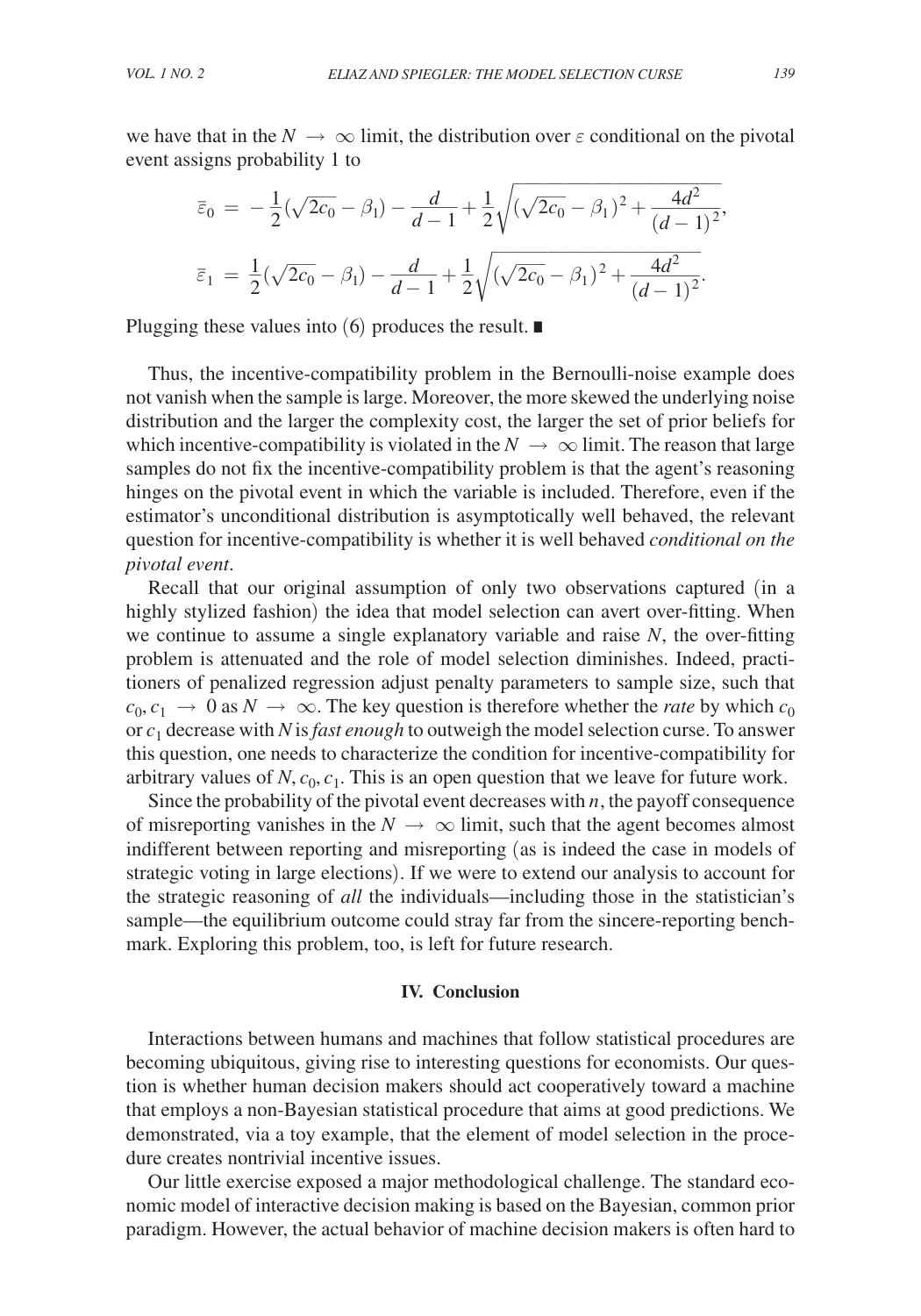we have that in the  $N \to \infty$  limit, the distribution over  $\varepsilon$  conditional on the pivotal event assigns probability 1 to

We have that in the 
$$
N \to \infty
$$
 limit, the distribution over  $\varepsilon$  conditional on the point  $\overline{\varepsilon}_0 = -\frac{1}{2}(\sqrt{2c_0} - \beta_1) - \frac{d}{d-1} + \frac{1}{2}\sqrt{(\sqrt{2c_0} - \beta_1)^2 + \frac{4d^2}{(d-1)^2}},$ 

\n
$$
\overline{\varepsilon}_1 = \frac{1}{2}(\sqrt{2c_0} - \beta_1) - \frac{d}{d-1} + \frac{1}{2}\sqrt{(\sqrt{2c_0} - \beta_1)^2 + \frac{4d^2}{(d-1)^2}}.
$$

Plugging these values into (6) produces the result. ∎

Thus, the incentive-compatibility problem in the Bernoulli-noise example does not vanish when the sample is large. Moreover, the more skewed the underlying noise distribution and the larger the complexity cost, the larger the set of prior beliefs for which incentive-compatibility is violated in the  $N \to \infty$  limit. The reason that large samples do not fix the incentive-compatibility problem is that the agent's reasoning hinges on the pivotal event in which the variable is included. Therefore, even if the estimator's unconditional distribution is asymptotically well behaved, the relevant question for incentive-compatibility is whether it is well behaved *conditional on the pivotal event*.

Recall that our original assumption of only two observations captured (in a highly stylized fashion) the idea that model selection can avert over-fitting. When we continue to assume a single explanatory variable and raise *N*, the over-fitting problem is attenuated and the role of model selection diminishes. Indeed, practitioners of penalized regression adjust penalty parameters to sample size, such that  $c_0, c_1 \rightarrow 0$  as  $N \rightarrow \infty$ . The key question is therefore whether the *rate* by which  $c_0$ or *c*1 decrease with *N* is *fast enough* to outweigh the model selection curse. To answer this question, one needs to characterize the condition for incentive-compatibility for arbitrary values of  $N$ ,  $c_0$ ,  $c_1$ . This is an open question that we leave for future work.

Since the probability of the pivotal event decreases with *n*, the payoff consequence of misreporting vanishes in the  $N \to \infty$  limit, such that the agent becomes almost indifferent between reporting and misreporting (as is indeed the case in models of strategic voting in large elections). If we were to extend our analysis to account for the strategic reasoning of *all* the individuals—including those in the statistician's sample—the equilibrium outcome could stray far from the sincere-reporting benchmark. Exploring this problem, too, is left for future research.

## **IV. Conclusion**

Interactions between humans and machines that follow statistical procedures are becoming ubiquitous, giving rise to interesting questions for economists. Our question is whether human decision makers should act cooperatively toward a machine that employs a non-Bayesian statistical procedure that aims at good predictions. We demonstrated, via a toy example, that the element of model selection in the procedure creates nontrivial incentive issues.

Our little exercise exposed a major methodological challenge. The standard economic model of interactive decision making is based on the Bayesian, common prior paradigm. However, the actual behavior of machine decision makers is often hard to